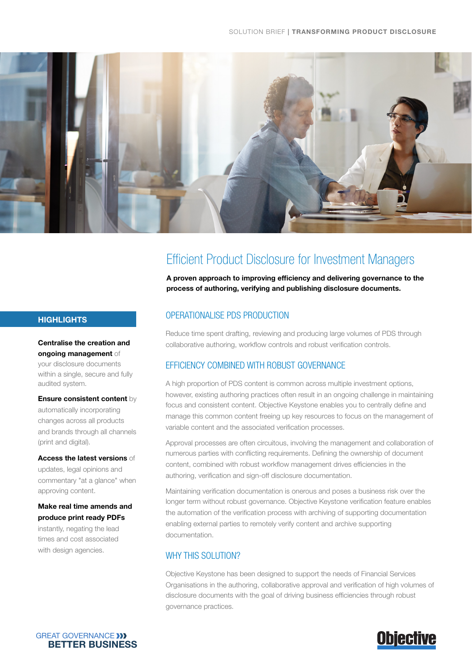

# Efficient Product Disclosure for Investment Managers

A proven approach to improving efficiency and delivering governance to the process of authoring, verifying and publishing disclosure documents.

## **HIGHLIGHTS**

Centralise the creation and ongoing management of

your disclosure documents within a single, secure and fully audited system.

Ensure consistent content by

automatically incorporating changes across all products and brands through all channels (print and digital).

Access the latest versions of updates, legal opinions and commentary "at a glance" when approving content.

## Make real time amends and produce print ready PDFs

instantly, negating the lead times and cost associated with design agencies.

## OPERATIONALISE PDS PRODUCTION

Reduce time spent drafting, reviewing and producing large volumes of PDS through collaborative authoring, workflow controls and robust verification controls.

# EFFICIENCY COMBINED WITH ROBUST GOVERNANCE

A high proportion of PDS content is common across multiple investment options, however, existing authoring practices often result in an ongoing challenge in maintaining focus and consistent content. Objective Keystone enables you to centrally define and manage this common content freeing up key resources to focus on the management of variable content and the associated verification processes.

Approval processes are often circuitous, involving the management and collaboration of numerous parties with conflicting requirements. Defining the ownership of document content, combined with robust workflow management drives efficiencies in the authoring, verification and sign-off disclosure documentation.

Maintaining verification documentation is onerous and poses a business risk over the longer term without robust governance. Objective Keystone verification feature enables the automation of the verification process with archiving of supporting documentation enabling external parties to remotely verify content and archive supporting documentation.

# WHY THIS SOLUTION?

Objective Keystone has been designed to support the needs of Financial Services Organisations in the authoring, collaborative approval and verification of high volumes of disclosure documents with the goal of driving business efficiencies through robust governance practices.



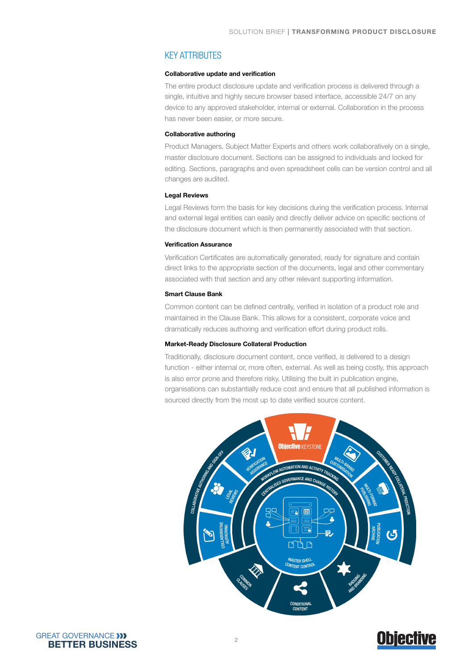## KEY ATTRIBUTES

#### Collaborative update and verification

The entire product disclosure update and verification process is delivered through a single, intuitive and highly secure browser based interface, accessible 24/7 on any device to any approved stakeholder, internal or external. Collaboration in the process has never been easier, or more secure.

#### Collaborative authoring

Product Managers, Subject Matter Experts and others work collaboratively on a single, master disclosure document. Sections can be assigned to individuals and locked for editing. Sections, paragraphs and even spreadsheet cells can be version control and all changes are audited.

#### Legal Reviews

Legal Reviews form the basis for key decisions during the verification process. Internal and external legal entities can easily and directly deliver advice on specific sections of the disclosure document which is then permanently associated with that section.

#### Verification Assurance

Verification Certificates are automatically generated, ready for signature and contain direct links to the appropriate section of the documents, legal and other commentary associated with that section and any other relevant supporting information.

#### Smart Clause Bank

Common content can be defined centrally, verified in isolation of a product role and maintained in the Clause Bank. This allows for a consistent, corporate voice and dramatically reduces authoring and verification effort during product rolls.

#### Market-Ready Disclosure Collateral Production

Traditionally, disclosure document content, once verified, is delivered to a design function - either internal or, more often, external. As well as being costly, this approach is also error prone and therefore risky. Utilising the built in publication engine, organisations can substantially reduce cost and ensure that all published information is sourced directly from the most up to date verified source content.



# **Objective**